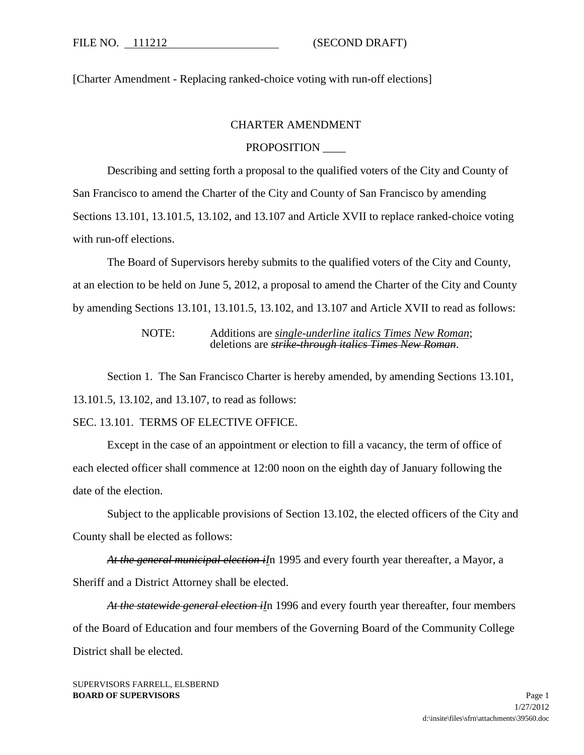[Charter Amendment - Replacing ranked-choice voting with run-off elections]

## CHARTER AMENDMENT

## PROPOSITION \_\_\_\_

Describing and setting forth a proposal to the qualified voters of the City and County of San Francisco to amend the Charter of the City and County of San Francisco by amending Sections 13.101, 13.101.5, 13.102, and 13.107 and Article XVII to replace ranked-choice voting with run-off elections.

The Board of Supervisors hereby submits to the qualified voters of the City and County, at an election to be held on June 5, 2012, a proposal to amend the Charter of the City and County by amending Sections 13.101, 13.101.5, 13.102, and 13.107 and Article XVII to read as follows:

> NOTE: Additions are *single-underline italics Times New Roman*; deletions are *strike-through italics Times New Roman*.

Section 1. The San Francisco Charter is hereby amended, by amending Sections 13.101, 13.101.5, 13.102, and 13.107, to read as follows:

## SEC. 13.101. TERMS OF ELECTIVE OFFICE.

Except in the case of an appointment or election to fill a vacancy, the term of office of each elected officer shall commence at 12:00 noon on the eighth day of January following the date of the election.

Subject to the applicable provisions of Section 13.102, the elected officers of the City and County shall be elected as follows:

*At the general municipal election iI*n 1995 and every fourth year thereafter, a Mayor, a Sheriff and a District Attorney shall be elected.

*At the statewide general election iI*n 1996 and every fourth year thereafter, four members of the Board of Education and four members of the Governing Board of the Community College District shall be elected.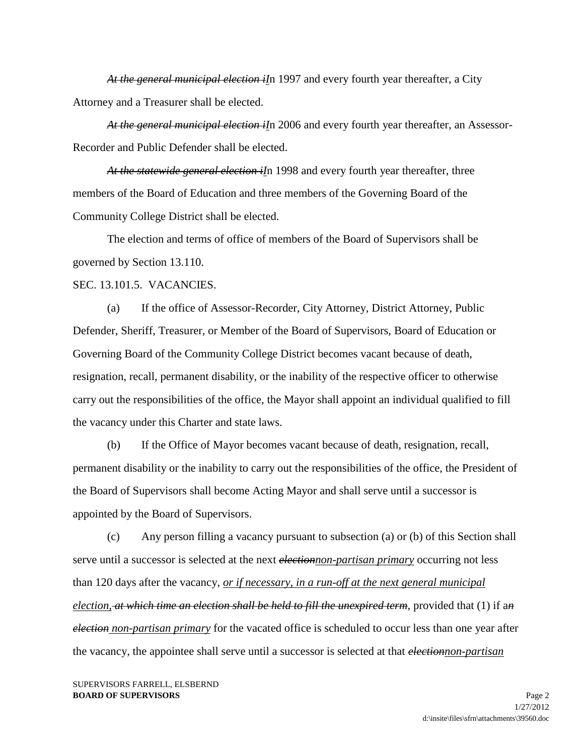*At the general municipal election iI*n 1997 and every fourth year thereafter, a City Attorney and a Treasurer shall be elected.

*At the general municipal election iI*n 2006 and every fourth year thereafter, an Assessor-Recorder and Public Defender shall be elected.

*At the statewide general election iI*n 1998 and every fourth year thereafter, three members of the Board of Education and three members of the Governing Board of the Community College District shall be elected.

The election and terms of office of members of the Board of Supervisors shall be governed by Section 13.110.

SEC. 13.101.5. VACANCIES.

(a) If the office of Assessor-Recorder, City Attorney, District Attorney, Public Defender, Sheriff, Treasurer, or Member of the Board of Supervisors, Board of Education or Governing Board of the Community College District becomes vacant because of death, resignation, recall, permanent disability, or the inability of the respective officer to otherwise carry out the responsibilities of the office, the Mayor shall appoint an individual qualified to fill the vacancy under this Charter and state laws.

(b) If the Office of Mayor becomes vacant because of death, resignation, recall, permanent disability or the inability to carry out the responsibilities of the office, the President of the Board of Supervisors shall become Acting Mayor and shall serve until a successor is appointed by the Board of Supervisors.

(c) Any person filling a vacancy pursuant to subsection (a) or (b) of this Section shall serve until a successor is selected at the next *electionnon-partisan primary* occurring not less than 120 days after the vacancy, *or if necessary, in a run-off at the next general municipal election, at which time an election shall be held to fill the unexpired term*, provided that (1) if a*n election non-partisan primary* for the vacated office is scheduled to occur less than one year after the vacancy, the appointee shall serve until a successor is selected at that *electionnon-partisan*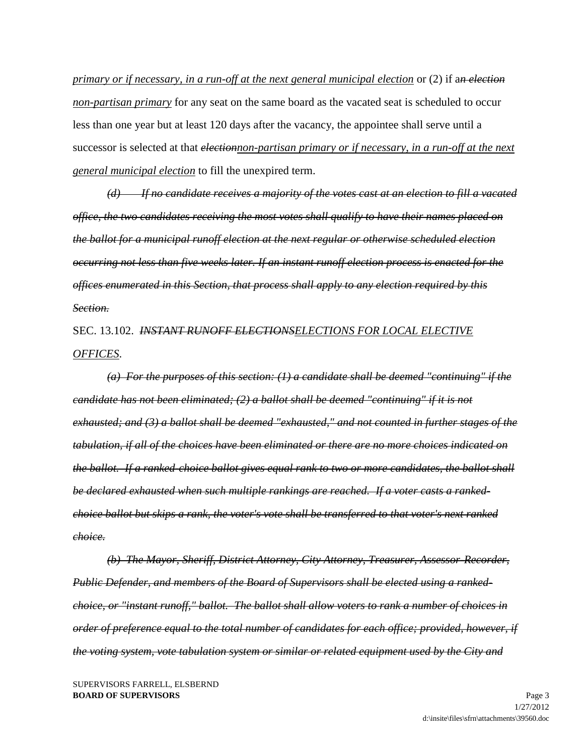*primary or if necessary, in a run-off at the next general municipal election* or (2) if a*n election non-partisan primary* for any seat on the same board as the vacated seat is scheduled to occur less than one year but at least 120 days after the vacancy, the appointee shall serve until a successor is selected at that *electionnon-partisan primary or if necessary, in a run-off at the next general municipal election* to fill the unexpired term.

*(d) If no candidate receives a majority of the votes cast at an election to fill a vacated office, the two candidates receiving the most votes shall qualify to have their names placed on the ballot for a municipal runoff election at the next regular or otherwise scheduled election occurring not less than five weeks later. If an instant runoff election process is enacted for the offices enumerated in this Section, that process shall apply to any election required by this Section.*

SEC. 13.102. *INSTANT RUNOFF ELECTIONSELECTIONS FOR LOCAL ELECTIVE OFFICES*.

*(a) For the purposes of this section: (1) a candidate shall be deemed "continuing" if the candidate has not been eliminated; (2) a ballot shall be deemed "continuing" if it is not exhausted; and (3) a ballot shall be deemed "exhausted," and not counted in further stages of the tabulation, if all of the choices have been eliminated or there are no more choices indicated on the ballot. If a ranked-choice ballot gives equal rank to two or more candidates, the ballot shall be declared exhausted when such multiple rankings are reached. If a voter casts a rankedchoice ballot but skips a rank, the voter's vote shall be transferred to that voter's next ranked choice.* 

*(b) The Mayor, Sheriff, District Attorney, City Attorney, Treasurer, Assessor-Recorder, Public Defender, and members of the Board of Supervisors shall be elected using a rankedchoice, or "instant runoff," ballot. The ballot shall allow voters to rank a number of choices in order of preference equal to the total number of candidates for each office; provided, however, if the voting system, vote tabulation system or similar or related equipment used by the City and*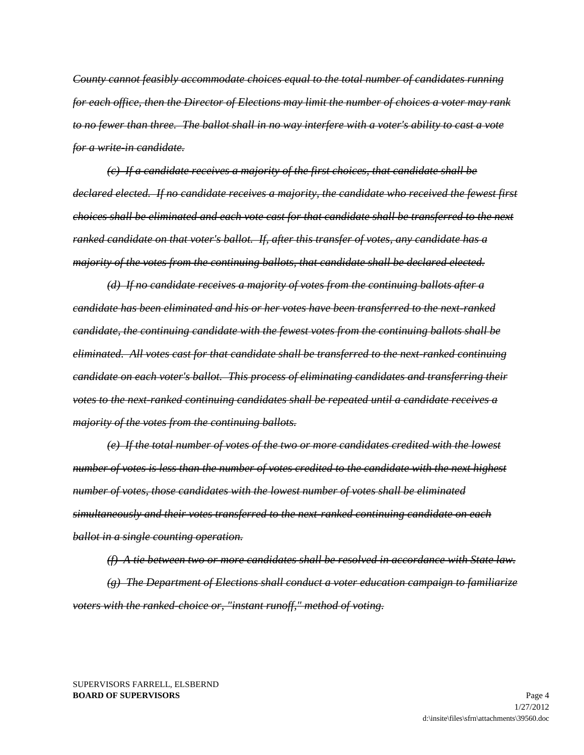*County cannot feasibly accommodate choices equal to the total number of candidates running for each office, then the Director of Elections may limit the number of choices a voter may rank to no fewer than three. The ballot shall in no way interfere with a voter's ability to cast a vote for a write-in candidate.* 

*(c) If a candidate receives a majority of the first choices, that candidate shall be declared elected. If no candidate receives a majority, the candidate who received the fewest first choices shall be eliminated and each vote cast for that candidate shall be transferred to the next ranked candidate on that voter's ballot. If, after this transfer of votes, any candidate has a majority of the votes from the continuing ballots, that candidate shall be declared elected.* 

*(d) If no candidate receives a majority of votes from the continuing ballots after a candidate has been eliminated and his or her votes have been transferred to the next-ranked candidate, the continuing candidate with the fewest votes from the continuing ballots shall be eliminated. All votes cast for that candidate shall be transferred to the next-ranked continuing candidate on each voter's ballot. This process of eliminating candidates and transferring their votes to the next-ranked continuing candidates shall be repeated until a candidate receives a majority of the votes from the continuing ballots.* 

*(e) If the total number of votes of the two or more candidates credited with the lowest number of votes is less than the number of votes credited to the candidate with the next highest number of votes, those candidates with the lowest number of votes shall be eliminated simultaneously and their votes transferred to the next-ranked continuing candidate on each ballot in a single counting operation.* 

*(f) A tie between two or more candidates shall be resolved in accordance with State law. (g) The Department of Elections shall conduct a voter education campaign to familiarize voters with the ranked-choice or, "instant runoff," method of voting.*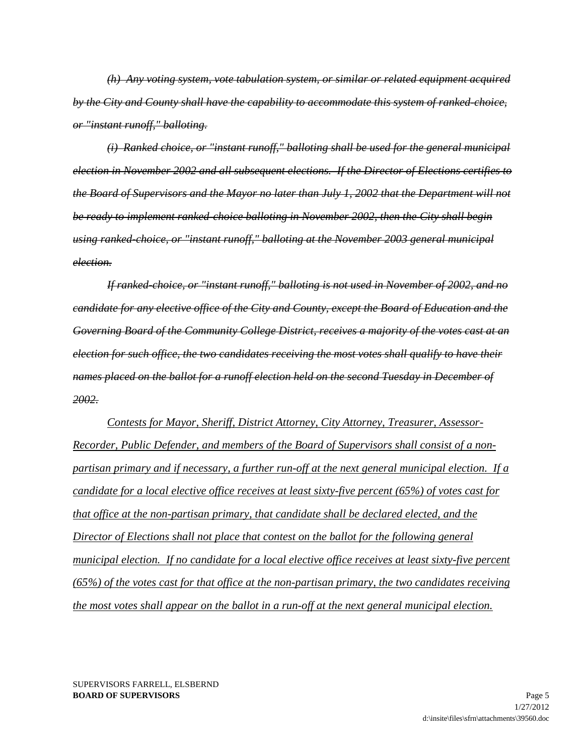*(h) Any voting system, vote tabulation system, or similar or related equipment acquired by the City and County shall have the capability to accommodate this system of ranked-choice, or "instant runoff," balloting.* 

*(i) Ranked choice, or "instant runoff," balloting shall be used for the general municipal election in November 2002 and all subsequent elections. If the Director of Elections certifies to the Board of Supervisors and the Mayor no later than July 1, 2002 that the Department will not be ready to implement ranked-choice balloting in November 2002, then the City shall begin using ranked-choice, or "instant runoff," balloting at the November 2003 general municipal election.* 

*If ranked-choice, or "instant runoff," balloting is not used in November of 2002, and no candidate for any elective office of the City and County, except the Board of Education and the Governing Board of the Community College District, receives a majority of the votes cast at an election for such office, the two candidates receiving the most votes shall qualify to have their names placed on the ballot for a runoff election held on the second Tuesday in December of 2002.*

*Contests for Mayor, Sheriff, District Attorney, City Attorney, Treasurer, Assessor-Recorder, Public Defender, and members of the Board of Supervisors shall consist of a nonpartisan primary and if necessary, a further run-off at the next general municipal election. If a candidate for a local elective office receives at least sixty-five percent (65%) of votes cast for that office at the non-partisan primary, that candidate shall be declared elected, and the Director of Elections shall not place that contest on the ballot for the following general municipal election. If no candidate for a local elective office receives at least sixty-five percent (65%) of the votes cast for that office at the non-partisan primary, the two candidates receiving the most votes shall appear on the ballot in a run-off at the next general municipal election.*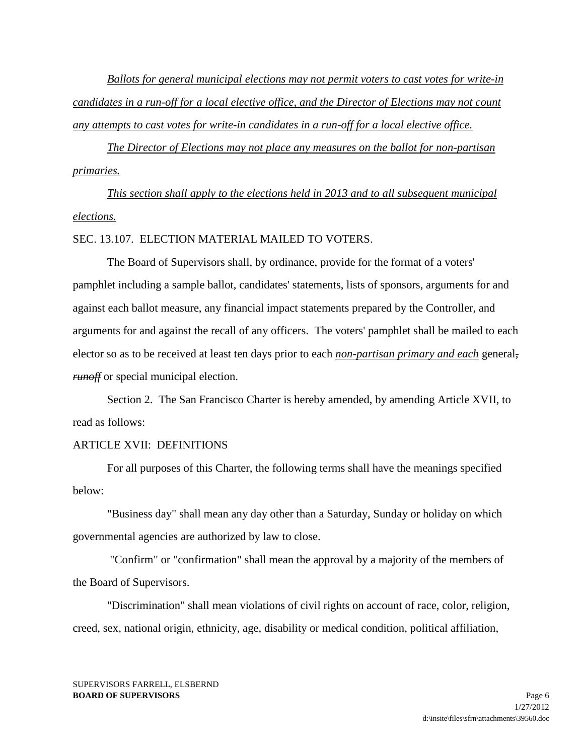*Ballots for general municipal elections may not permit voters to cast votes for write-in candidates in a run-off for a local elective office, and the Director of Elections may not count any attempts to cast votes for write-in candidates in a run-off for a local elective office.*

*The Director of Elections may not place any measures on the ballot for non-partisan primaries.*

*This section shall apply to the elections held in 2013 and to all subsequent municipal elections.*

### SEC. 13.107. ELECTION MATERIAL MAILED TO VOTERS.

The Board of Supervisors shall, by ordinance, provide for the format of a voters' pamphlet including a sample ballot, candidates' statements, lists of sponsors, arguments for and against each ballot measure, any financial impact statements prepared by the Controller, and arguments for and against the recall of any officers. The voters' pamphlet shall be mailed to each elector so as to be received at least ten days prior to each *non-partisan primary and each* general*, runoff* or special municipal election.

Section 2. The San Francisco Charter is hereby amended, by amending Article XVII, to read as follows:

# ARTICLE XVII: DEFINITIONS

For all purposes of this Charter, the following terms shall have the meanings specified below:

"Business day" shall mean any day other than a Saturday, Sunday or holiday on which governmental agencies are authorized by law to close.

"Confirm" or "confirmation" shall mean the approval by a majority of the members of the Board of Supervisors.

"Discrimination" shall mean violations of civil rights on account of race, color, religion, creed, sex, national origin, ethnicity, age, disability or medical condition, political affiliation,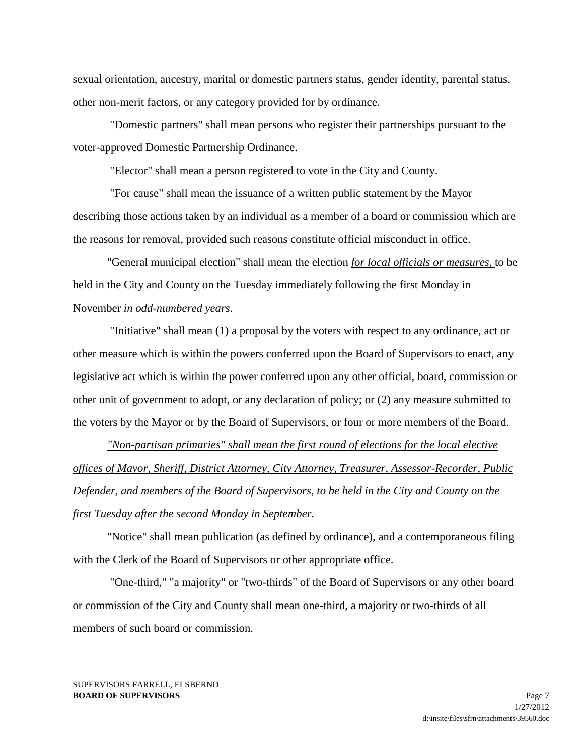sexual orientation, ancestry, marital or domestic partners status, gender identity, parental status, other non-merit factors, or any category provided for by ordinance.

"Domestic partners" shall mean persons who register their partnerships pursuant to the voter-approved Domestic Partnership Ordinance.

"Elector" shall mean a person registered to vote in the City and County.

"For cause" shall mean the issuance of a written public statement by the Mayor describing those actions taken by an individual as a member of a board or commission which are the reasons for removal, provided such reasons constitute official misconduct in office.

"General municipal election" shall mean the election *for local officials or measures,* to be held in the City and County on the Tuesday immediately following the first Monday in November *in odd-numbered years*.

"Initiative" shall mean (1) a proposal by the voters with respect to any ordinance, act or other measure which is within the powers conferred upon the Board of Supervisors to enact, any legislative act which is within the power conferred upon any other official, board, commission or other unit of government to adopt, or any declaration of policy; or (2) any measure submitted to the voters by the Mayor or by the Board of Supervisors, or four or more members of the Board.

*"Non-partisan primaries" shall mean the first round of elections for the local elective offices of Mayor, Sheriff, District Attorney, City Attorney, Treasurer, Assessor-Recorder, Public Defender, and members of the Board of Supervisors, to be held in the City and County on the first Tuesday after the second Monday in September.*

"Notice" shall mean publication (as defined by ordinance), and a contemporaneous filing with the Clerk of the Board of Supervisors or other appropriate office.

"One-third," "a majority" or "two-thirds" of the Board of Supervisors or any other board or commission of the City and County shall mean one-third, a majority or two-thirds of all members of such board or commission.